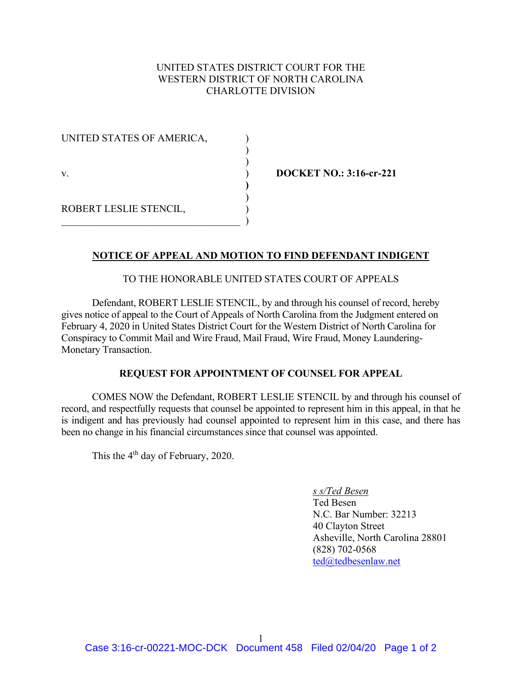# UNITED STATES DISTRICT COURT FOR THE WESTERN DISTRICT OF NORTH CAROLINA CHARLOTTE DIVISION

)

**)**  )

UNITED STATES OF AMERICA, )  $\hspace{0.6cm}$ v. ) **DOCKET NO.: 3:16-cr-221** ROBERT LESLIE STENCIL, )  $\qquad \qquad \qquad .$ 

### **NOTICE OF APPEAL AND MOTION TO FIND DEFENDANT INDIGENT**

### TO THE HONORABLE UNITED STATES COURT OF APPEALS

Defendant, ROBERT LESLIE STENCIL, by and through his counsel of record, hereby gives notice of appeal to the Court of Appeals of North Carolina from the Judgment entered on February 4, 2020 in United States District Court for the Western District of North Carolina for Conspiracy to Commit Mail and Wire Fraud, Mail Fraud, Wire Fraud, Money Laundering-Monetary Transaction.

#### **REQUEST FOR APPOINTMENT OF COUNSEL FOR APPEAL**

COMES NOW the Defendant, ROBERT LESLIE STENCIL by and through his counsel of record, and respectfully requests that counsel be appointed to represent him in this appeal, in that he is indigent and has previously had counsel appointed to represent him in this case, and there has been no change in his financial circumstances since that counsel was appointed.

This the 4<sup>th</sup> day of February, 2020.

### *s s/Ted Besen*

Ted Besen N.C. Bar Number: 32213 40 Clayton Street Asheville, North Carolina 28801 (828) 702-0568 [ted@tedbesenlaw.net](mailto:ted@tedbesenlaw.net)